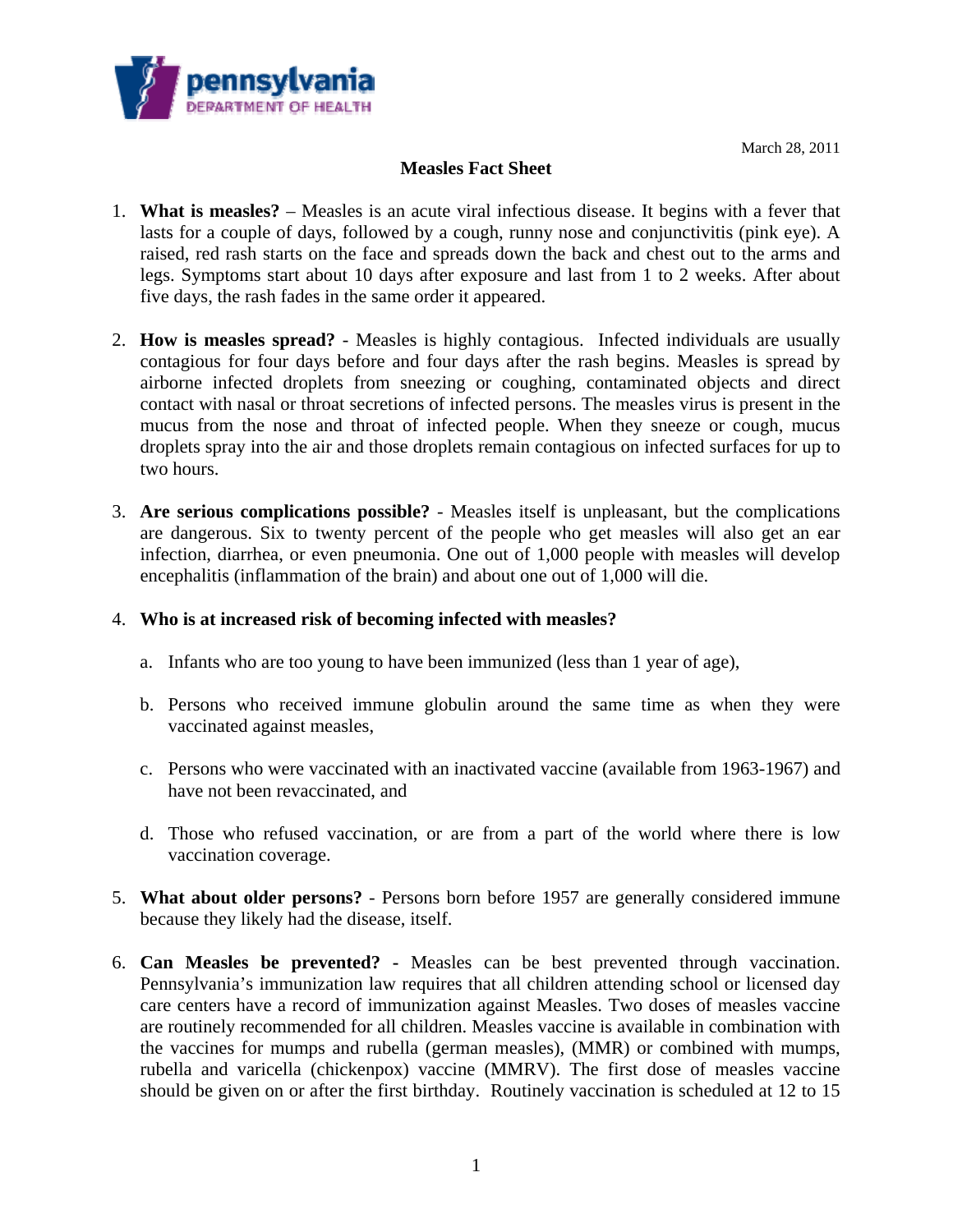

March 28, 2011

## **Measles Fact Sheet**

- 1. **What is measles?** Measles is an acute viral infectious disease. It begins with a fever that lasts for a couple of days, followed by a cough, runny nose and conjunctivitis (pink eye). A raised, red rash starts on the face and spreads down the back and chest out to the arms and legs. Symptoms start about 10 days after exposure and last from 1 to 2 weeks. After about five days, the rash fades in the same order it appeared.
- 2. **How is measles spread?** Measles is highly contagious. Infected individuals are usually contagious for four days before and four days after the rash begins. Measles is spread by airborne infected droplets from sneezing or coughing, contaminated objects and direct contact with nasal or throat secretions of infected persons. The measles virus is present in the mucus from the nose and throat of infected people. When they sneeze or cough, mucus droplets spray into the air and those droplets remain contagious on infected surfaces for up to two hours.
- 3. **Are serious complications possible?** Measles itself is unpleasant, but the complications are dangerous. Six to twenty percent of the people who get measles will also get an ear infection, diarrhea, or even pneumonia. One out of 1,000 people with measles will develop encephalitis (inflammation of the brain) and about one out of 1,000 will die.

## 4. **Who is at increased risk of becoming infected with measles?**

- a. Infants who are too young to have been immunized (less than 1 year of age),
- b. Persons who received immune globulin around the same time as when they were vaccinated against measles,
- c. Persons who were vaccinated with an inactivated vaccine (available from 1963-1967) and have not been revaccinated, and
- d. Those who refused vaccination, or are from a part of the world where there is low vaccination coverage.
- 5. **What about older persons?** Persons born before 1957 are generally considered immune because they likely had the disease, itself.
- 6. **Can Measles be prevented?** Measles can be best prevented through vaccination. Pennsylvania's immunization law requires that all children attending school or licensed day care centers have a record of immunization against Measles. Two doses of measles vaccine are routinely recommended for all children. Measles vaccine is available in combination with the vaccines for mumps and rubella (german measles), (MMR) or combined with mumps, rubella and varicella (chickenpox) vaccine (MMRV). The first dose of measles vaccine should be given on or after the first birthday. Routinely vaccination is scheduled at 12 to 15